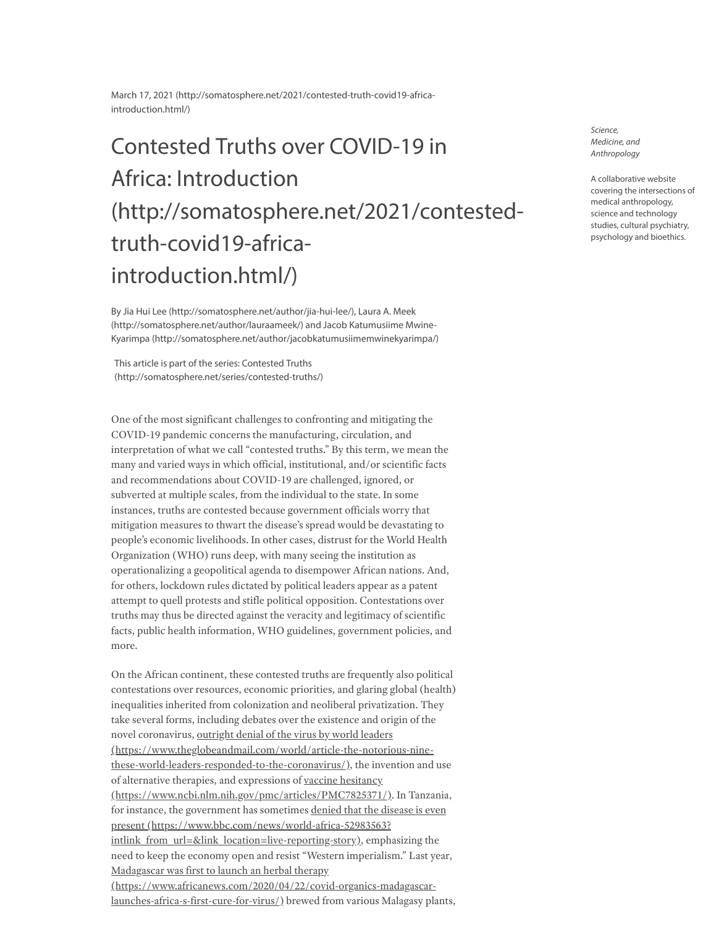March 17, 2021 [\(http://somatosphere.net/2021/contested-truth-covid19-africa](http://somatosphere.net/2021/contested-truth-covid19-africa-introduction.html/)introduction.html/)

## Contested Truths over COVID-19 in Africa: Introduction [\(http://somatosphere.net/2021/contested](http://somatosphere.net/2021/contested-truth-covid19-africa-introduction.html/)truth-covid19-africaintroduction.html/)

By Jia Hui Lee [\(http://somatosphere.net/author/jia-hui-lee/\)](http://somatosphere.net/author/jia-hui-lee/), Laura A. Meek [\(http://somatosphere.net/author/lauraameek/\)](http://somatosphere.net/author/lauraameek/) and Jacob Katumusiime Mwine-Kyarimpa [\(http://somatosphere.net/author/jacobkatumusiimemwinekyarimpa/\)](http://somatosphere.net/author/jacobkatumusiimemwinekyarimpa/)

This article is part of the series: Contested Truths [\(http://somatosphere.net/series/contested-truths/\)](http://somatosphere.net/series/contested-truths/)

One of the most significant challenges to confronting and mitigating the COVID-19 pandemic concerns the manufacturing, circulation, and interpretation of what we call "contested truths." By this term, we mean the many and varied ways in which official, institutional, and/or scientific facts and recommendations about COVID-19 are challenged, ignored, or subverted at multiple scales, from the individual to the state. In some instances, truths are contested because government officials worry that mitigation measures to thwart the disease's spread would be devastating to people's economic livelihoods. In other cases, distrust for the World Health Organization (WHO) runs deep, with many seeing the institution as operationalizing a geopolitical agenda to disempower African nations. And, for others, lockdown rules dictated by political leaders appear as a patent attempt to quell protests and stifle political opposition. Contestations over truths may thus be directed against the veracity and legitimacy of scientific facts, public health information, WHO guidelines, government policies, and more.

On the African continent, these contested truths are frequently also political contestations over resources, economic priorities, and glaring global (health) inequalities inherited from colonization and neoliberal privatization. They take several forms, including debates over the existence and origin of the novel coronavirus, outright denial of the virus by world leaders [\(https://www.theglobeandmail.com/world/article-the-notorious-nine](https://www.theglobeandmail.com/world/article-the-notorious-nine-these-world-leaders-responded-to-the-coronavirus/)these-world-leaders-responded-to-the-coronavirus/), the invention and use of alternative therapies, and expressions of vaccine hesitancy [\(https://www.ncbi.nlm.nih.gov/pmc/articles/PMC7825371/\)](https://www.ncbi.nlm.nih.gov/pmc/articles/PMC7825371/). In Tanzania, for instance, the government has sometimes denied that the disease is even present (https://www.bbc.com/news/world-africa-52983563? [intlink\\_from\\_url=&link\\_location=live-reporting-story\),](https://www.bbc.com/news/world-africa-52983563?intlink_from_url=&link_location=live-reporting-story) emphasizing the need to keep the economy open and resist "Western imperialism." Last year, Madagascar was first to launch an herbal therapy [\(https://www.africanews.com/2020/04/22/covid-organics-madagascar](https://www.africanews.com/2020/04/22/covid-organics-madagascar-launches-africa-s-first-cure-for-virus/)launches-africa-s-first-cure-for-virus/) brewed from various Malagasy plants,

Science, Medicine, and Anthropology

A collaborative website covering the intersections of medical anthropology, science and technology studies, cultural psychiatry, psychology and bioethics.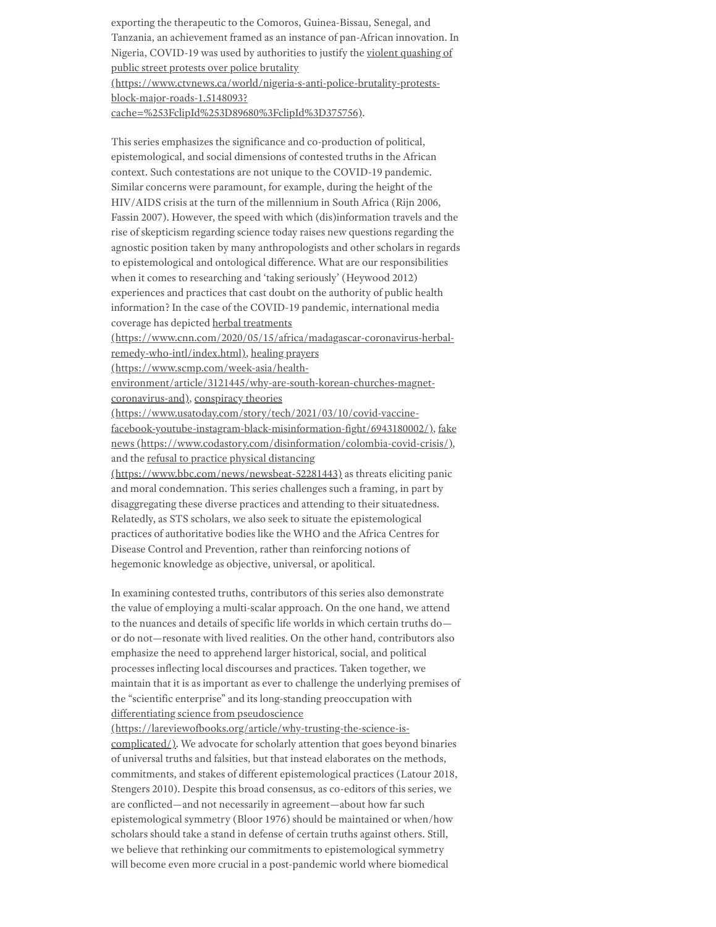exporting the therapeutic to the Comoros, Guinea-Bissau, Senegal, and Tanzania, an achievement framed as an instance of pan-African innovation. In Nigeria, COVID-19 was used by authorities to justify the violent quashing of public street protests over police brutality

[\(https://www.ctvnews.ca/world/nigeria-s-anti-police-brutality-protests-](https://www.ctvnews.ca/world/nigeria-s-anti-police-brutality-protests-block-major-roads-1.5148093?cache=%253FclipId%253D89680%3FclipId%3D375756)

block-major-roads-1.5148093?

cache=%253FclipId%253D89680%3FclipId%3D375756).

This series emphasizes the significance and co-production of political, epistemological, and social dimensions of contested truths in the African context. Such contestations are not unique to the COVID-19 pandemic. Similar concerns were paramount, for example, during the height of the HIV/AIDS crisis at the turn of the millennium in South Africa (Rijn 2006, Fassin 2007). However, the speed with which (dis)information travels and the rise of skepticism regarding science today raises new questions regarding the agnostic position taken by many anthropologists and other scholars in regards to epistemological and ontological difference. What are our responsibilities when it comes to researching and 'taking seriously' (Heywood 2012) experiences and practices that cast doubt on the authority of public health information? In the case of the COVID-19 pandemic, international media coverage has depicted herbal treatments

[\(https://www.cnn.com/2020/05/15/africa/madagascar-coronavirus-herbal-](https://www.cnn.com/2020/05/15/africa/madagascar-coronavirus-herbal-remedy-who-intl/index.html)

remedy-who-intl/index.html), healing prayers (https://www.scmp.com/week-asia/health-

[environment/article/3121445/why-are-south-korean-churches-magnet-](https://www.scmp.com/week-asia/health-environment/article/3121445/why-are-south-korean-churches-magnet-coronavirus-and)

coronavirus-and), conspiracy theories

(https://www.usatoday.com/story/tech/2021/03/10/covid-vaccine[facebook-youtube-instagram-black-misinformation-fight/6943180002/\)](https://www.usatoday.com/story/tech/2021/03/10/covid-vaccine-facebook-youtube-instagram-black-misinformation-fight/6943180002/)[,](https://www.codastory.com/disinformation/colombia-covid-crisis/) fake news (https://www.codastory.com/disinformation/colombia-covid-crisis/), and the refusal to practice physical distancing

[\(https://www.bbc.com/news/newsbeat-52281443\)](https://www.bbc.com/news/newsbeat-52281443) as threats eliciting panic and moral condemnation. This series challenges such a framing, in part by disaggregating these diverse practices and attending to their situatedness. Relatedly, as STS scholars, we also seek to situate the epistemological practices of authoritative bodies like the WHO and the Africa Centres for Disease Control and Prevention, rather than reinforcing notions of hegemonic knowledge as objective, universal, or apolitical.

In examining contested truths, contributors of this series also demonstrate the value of employing a multi-scalar approach. On the one hand, we attend to the nuances and details of specific life worlds in which certain truths do or do not—resonate with lived realities. On the other hand, contributors also emphasize the need to apprehend larger historical, social, and political processes inflecting local discourses and practices. Taken together, we maintain that it is as important as ever to challenge the underlying premises of the "scientific enterprise" and its long-standing preoccupation with differentiating science from pseudoscience

[\(https://lareviewofbooks.org/article/why-trusting-the-science-is](https://lareviewofbooks.org/article/why-trusting-the-science-is-complicated/)complicated/). We advocate for scholarly attention that goes beyond binaries of universal truths and falsities, but that instead elaborates on the methods, commitments, and stakes of different epistemological practices (Latour 2018, Stengers 2010). Despite this broad consensus, as co-editors of this series, we are conflicted—and not necessarily in agreement—about how far such epistemological symmetry (Bloor 1976) should be maintained or when/how scholars should take a stand in defense of certain truths against others. Still, we believe that rethinking our commitments to epistemological symmetry will become even more crucial in a post-pandemic world where biomedical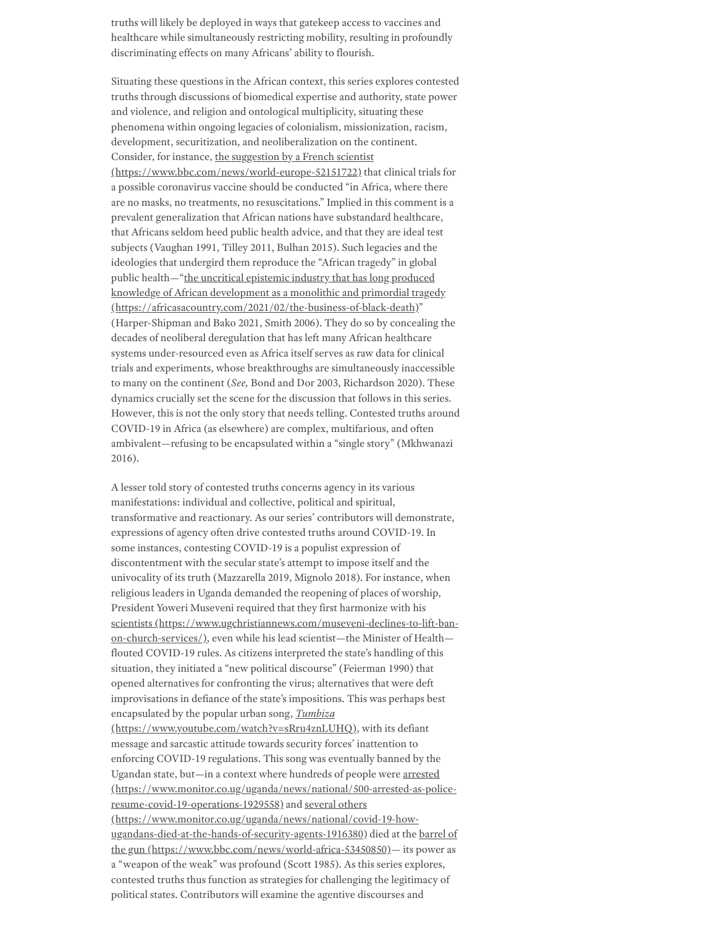truths will likely be deployed in ways that gatekeep access to vaccines and healthcare while simultaneously restricting mobility, resulting in profoundly discriminating effects on many Africans' ability to flourish.

Situating these questions in the African context, this series explores contested truths through discussions of biomedical expertise and authority, state power and violence, and religion and ontological multiplicity, situating these phenomena within ongoing legacies of colonialism, missionization, racism, development, securitization, and neoliberalization on the continent. Consider, for instance, the suggestion by a French scientist [\(https://www.bbc.com/news/world-europe-52151722\)](https://www.bbc.com/news/world-europe-52151722) that clinical trials for a possible coronavirus vaccine should be conducted "in Africa, where there are no masks, no treatments, no resuscitations." Implied in this comment is a prevalent generalization that African nations have substandard healthcare, that Africans seldom heed public health advice, and that they are ideal test subjects (Vaughan 1991, Tilley 2011, Bulhan 2015). Such legacies and the ideologies that undergird them reproduce the "African tragedy" in global public health—"the uncritical epistemic industry that has long produced knowledge of African development as a monolithic and primordial tragedy [\(https://africasacountry.com/2021/02/the-business-of-black-death\)"](https://africasacountry.com/2021/02/the-business-of-black-death) (Harper-Shipman and Bako 2021, Smith 2006). They do so by concealing the decades of neoliberal deregulation that has left many African healthcare systems under-resourced even as Africa itself serves as raw data for clinical trials and experiments, whose breakthroughs are simultaneously inaccessible to many on the continent (*See,* Bond and Dor 2003, Richardson 2020). These dynamics crucially set the scene for the discussion that follows in this series. However, this is not the only story that needs telling. Contested truths around COVID-19 in Africa (as elsewhere) are complex, multifarious, and often ambivalent—refusing to be encapsulated within a "single story" (Mkhwanazi 2016).

A lesser told story of contested truths concerns agency in its various manifestations: individual and collective, political and spiritual, transformative and reactionary. As our series' contributors will demonstrate, expressions of agency often drive contested truths around COVID-19. In some instances, contesting COVID-19 is a populist expression of discontentment with the secular state's attempt to impose itself and the univocality of its truth (Mazzarella 2019, Mignolo 2018). For instance, when religious leaders in Uganda demanded the reopening of places of worship, President Yoweri Museveni required that they first harmonize with his scientists [\(https://www.ugchristiannews.com/museveni-declines-to-lift-ban](https://www.ugchristiannews.com/museveni-declines-to-lift-ban-on-church-services/)on-church-services/), even while his lead scientist—the Minister of Health flouted COVID-19 rules. As citizens interpreted the state's handling of this situation, they initiated a "new political discourse" (Feierman 1990) that opened alternatives for confronting the virus; alternatives that were deft improvisations in defiance of the state's impositions. This was perhaps best encapsulated by the popular urban song, *Tumbiza* [\(https://www.youtube.com/watch?v=sRru4znLUHQ\)](https://www.youtube.com/watch?v=sRru4znLUHQ), with its defiant message and sarcastic attitude towards security forces' inattention to enforcing COVID-19 regulations. This song was eventually banned by the Ugandan state, but—in a context where hundreds of people were arrested [\(https://www.monitor.co.ug/uganda/news/national/500-arrested-as-police](https://www.monitor.co.ug/uganda/news/national/500-arrested-as-police-resume-covid-19-operations-1929558)resume-covid-19-operations-1929558) and several others [\(https://www.monitor.co.ug/uganda/news/national/covid-19-how](https://www.monitor.co.ug/uganda/news/national/covid-19-how-ugandans-died-at-the-hands-of-security-agents-1916380)[ugandans-died-at-the-hands-of-security-agents-1916380\)](https://www.bbc.com/news/world-africa-53450850) died at the barrel of the gun (https://www.bbc.com/news/world-africa-53450850)— its power as a "weapon of the weak" was profound (Scott 1985). As this series explores, contested truths thus function as strategies for challenging the legitimacy of political states. Contributors will examine the agentive discourses and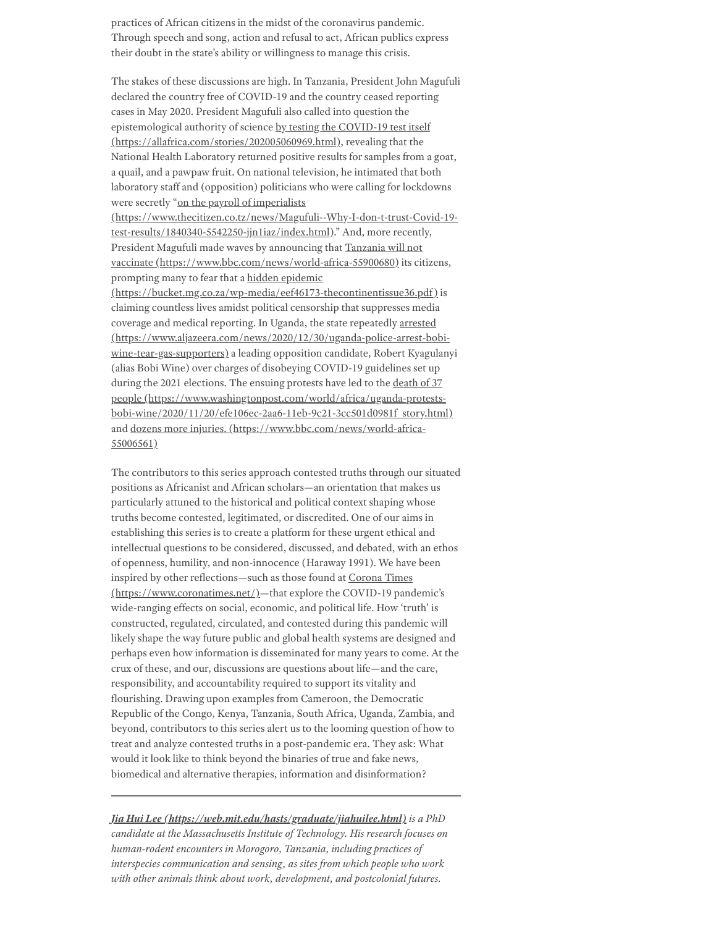practices of African citizens in the midst of the coronavirus pandemic. Through speech and song, action and refusal to act, African publics express their doubt in the state's ability or willingness to manage this crisis.

The stakes of these discussions are high. In Tanzania, President John Magufuli declared the country free of COVID-19 and the country ceased reporting cases in May 2020. President Magufuli also called into question the epistemological authority of science by testing the COVID-19 test itself [\(https://allafrica.com/stories/202005060969.html\),](https://allafrica.com/stories/202005060969.html) revealing that the National Health Laboratory returned positive results for samples from a goat, a quail, and a pawpaw fruit. On national television, he intimated that both laboratory staff and (opposition) politicians who were calling for lockdowns were secretly "on the payroll of imperialists [\(https://www.thecitizen.co.tz/news/Magufuli--Why-I-don-t-trust-Covid-19-](https://www.thecitizen.co.tz/news/Magufuli--Why-I-don-t-trust-Covid-19-test-results/1840340-5542250-jjn1iaz/index.html)

test-results/1840340-5542250-jjn1iaz/index.html)." And, more recently, President Magufuli made waves by announcing that Tanzania will not vaccinate [\(https://www.bbc.com/news/world-africa-55900680\)](https://www.bbc.com/news/world-africa-55900680) its citizens, prompting many to fear that a hidden epidemic

[\(https://bucket.mg.co.za/wp-media/eef46173-thecontinentissue36.pdf\)](https://bucket.mg.co.za/wp-media/eef46173-thecontinentissue36.pdf) is claiming countless lives amidst political censorship that suppresses media coverage and medical reporting. In Uganda, the state repeatedly arrested [\(https://www.aljazeera.com/news/2020/12/30/uganda-police-arrest-bobi](https://www.aljazeera.com/news/2020/12/30/uganda-police-arrest-bobi-wine-tear-gas-supporters)wine-tear-gas-supporters) a leading opposition candidate, Robert Kyagulanyi (alias Bobi Wine) over charges of disobeying COVID-19 guidelines set up during the 2021 elections. The ensuing protests have led to the death of 37 people (https://www.washingtonpost.com/world/africa/uganda-protests[bobi-wine/2020/11/20/efe106ec-2aa6-11eb-9c21-3cc501d0981f\\_story.html\)](https://www.washingtonpost.com/world/africa/uganda-protests-bobi-wine/2020/11/20/efe106ec-2aa6-11eb-9c21-3cc501d0981f_story.html) and dozens more injuries. [\(https://www.bbc.com/news/world-africa-](https://www.bbc.com/news/world-africa-55006561)55006561)

The contributors to this series approach contested truths through our situated positions as Africanist and African scholars—an orientation that makes us particularly attuned to the historical and political context shaping whose truths become contested, legitimated, or discredited. One of our aims in establishing this series is to create a platform for these urgent ethical and intellectual questions to be considered, discussed, and debated, with an ethos of openness, humility, and non-innocence (Haraway 1991). We have been inspired by other reflections—such as those found at Corona Times [\(https://www.coronatimes.net/\)—that](https://www.coronatimes.net/) explore the COVID-19 pandemic's wide-ranging effects on social, economic, and political life. How 'truth' is constructed, regulated, circulated, and contested during this pandemic will likely shape the way future public and global health systems are designed and perhaps even how information is disseminated for many years to come. At the crux of these, and our, discussions are questions about life—and the care, responsibility, and accountability required to support its vitality and flourishing. Drawing upon examples from Cameroon, the Democratic Republic of the Congo, Kenya, Tanzania, South Africa, Uganda, Zambia, and beyond, contributors to this series alert us to the looming question of how to treat and analyze contested truths in a post-pandemic era. They ask: What would it look like to think beyond the binaries of true and fake news, biomedical and alternative therapies, information and disinformation?

*Jia Hui Lee [\(https://web.mit.edu/hasts/graduate/jiahuilee.html\)](https://web.mit.edu/hasts/graduate/jiahuilee.html) is a PhD candidate at the Massachusetts Institute of Technology. His research focuses on human-rodent encounters in Morogoro, Tanzania, including practices of interspecies communication and sensing, as sites from which people who work with other animals think about work, development, and postcolonial futures.*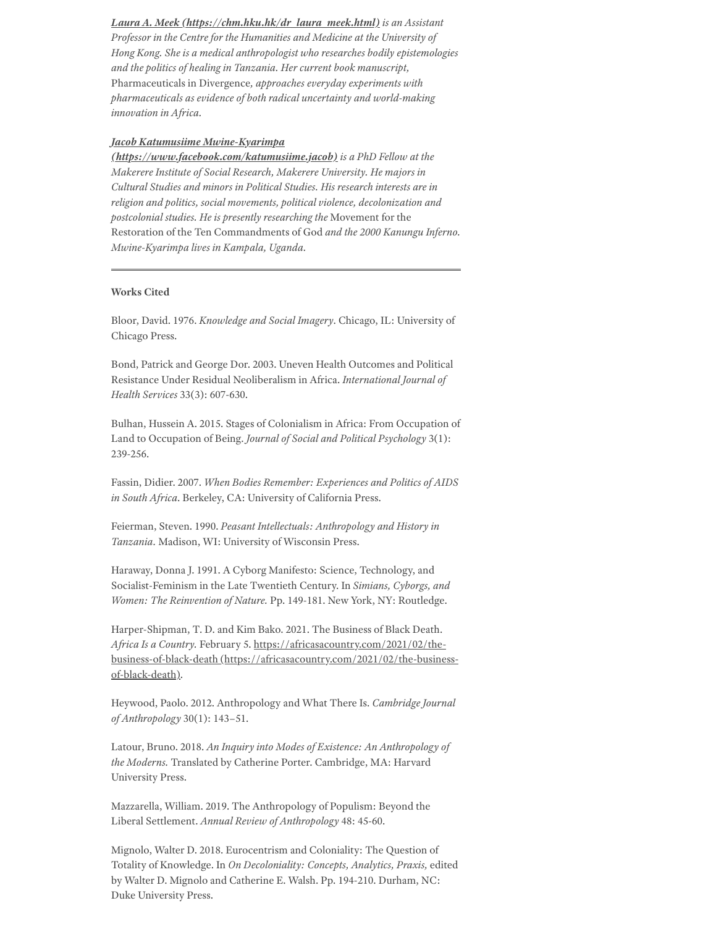*Laura A. Meek [\(https://chm.hku.hk/dr\\_laura\\_meek.html\)](https://chm.hku.hk/dr_laura_meek.html) is an Assistant Professor in the Centre for the Humanities and Medicine at the University of Hong Kong. She is a medical anthropologist who researches bodily epistemologies and the politics of healing in Tanzania. Her current book manuscript,* Pharmaceuticals in Divergence*, approaches everyday experiments with pharmaceuticals as evidence of both radical uncertainty and world-making innovation in Africa.*

## *Jacob Katumusiime Mwine-Kyarimpa*

*[\(https://www.facebook.com/katumusiime.jacob\)](https://www.facebook.com/katumusiime.jacob) is a PhD Fellow at the Makerere Institute of Social Research, Makerere University. He majors in Cultural Studies and minors in Political Studies. His research interests are in religion and politics, social movements, political violence, decolonization and postcolonial studies. He is presently researching the* Movement for the Restoration of the Ten Commandments of God *and the 2000 Kanungu Inferno. Mwine-Kyarimpa lives in Kampala, Uganda.*

## **Works Cited**

Bloor, David. 1976. *Knowledge and Social Imagery*. Chicago, IL: University of Chicago Press.

Bond, Patrick and George Dor. 2003. Uneven Health Outcomes and Political Resistance Under Residual Neoliberalism in Africa. *International Journal of Health Services* 33(3): 607-630.

Bulhan, Hussein A. 2015. Stages of Colonialism in Africa: From Occupation of Land to Occupation of Being. *Journal of Social and Political Psychology* 3(1): 239-256.

Fassin, Didier. 2007. *When Bodies Remember: Experiences and Politics of AIDS in South Africa*. Berkeley, CA: University of California Press.

Feierman, Steven. 1990. *Peasant Intellectuals: Anthropology and History in Tanzania.* Madison, WI: University of Wisconsin Press.

Haraway, Donna J. 1991. A Cyborg Manifesto: Science, Technology, and Socialist-Feminism in the Late Twentieth Century. In *Simians, Cyborgs, and Women: The Reinvention of Nature.* Pp. 149-181. New York, NY: Routledge.

Harper-Shipman, T. D. and Kim Bako. 2021. The Business of Black Death. *Africa Is a Country.* February 5. https://africasacountry.com/2021/02/thebusiness-of-black-death [\(https://africasacountry.com/2021/02/the-business](https://africasacountry.com/2021/02/the-business-of-black-death)of-black-death).

Heywood, Paolo. 2012. Anthropology and What There Is. *Cambridge Journal of Anthropology* 30(1): 143–51.

Latour, Bruno. 2018. *An Inquiry into Modes of Existence: An Anthropology of the Moderns.* Translated by Catherine Porter. Cambridge, MA: Harvard University Press.

Mazzarella, William. 2019. The Anthropology of Populism: Beyond the Liberal Settlement. *Annual Review of Anthropology* 48: 45-60.

Mignolo, Walter D. 2018. Eurocentrism and Coloniality: The Question of Totality of Knowledge. In *On Decoloniality: Concepts, Analytics, Praxis,* edited by Walter D. Mignolo and Catherine E. Walsh. Pp. 194-210. Durham, NC: Duke University Press.